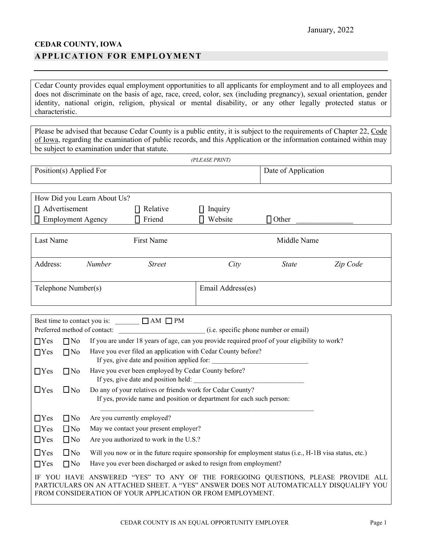## **CEDAR COUNTY, IOWA APPLICATION FOR EMPLOYMENT**

Cedar County provides equal employment opportunities to all applicants for employment and to all employees and does not discriminate on the basis of age, race, creed, color, sex (including pregnancy), sexual orientation, gender identity, national origin, religion, physical or mental disability, or any other legally protected status or characteristic.

Please be advised that because Cedar County is a public entity, it is subject to the requirements of Chapter 22, Code of Iowa, regarding the examination of public records, and this Application or the information contained within may be subject to examination under that statute.

|                                                                                                                                                                                                                                          |                                                                                                                                                  |                                                                                                             |                                                  | (PLEASE PRINT)                                                                                |                     |          |  |
|------------------------------------------------------------------------------------------------------------------------------------------------------------------------------------------------------------------------------------------|--------------------------------------------------------------------------------------------------------------------------------------------------|-------------------------------------------------------------------------------------------------------------|--------------------------------------------------|-----------------------------------------------------------------------------------------------|---------------------|----------|--|
| Position(s) Applied For                                                                                                                                                                                                                  |                                                                                                                                                  |                                                                                                             |                                                  |                                                                                               | Date of Application |          |  |
|                                                                                                                                                                                                                                          |                                                                                                                                                  | How Did you Learn About Us?                                                                                 |                                                  |                                                                                               |                     |          |  |
| $\prod$ Advertisement                                                                                                                                                                                                                    |                                                                                                                                                  |                                                                                                             |                                                  |                                                                                               |                     |          |  |
|                                                                                                                                                                                                                                          | <b>Employment Agency</b>                                                                                                                         |                                                                                                             | $\prod$ Relative<br>$\prod$ Friend               | $\Box$ Inquiry<br>Website<br>п                                                                | $\Box$ Other        |          |  |
|                                                                                                                                                                                                                                          |                                                                                                                                                  |                                                                                                             |                                                  |                                                                                               |                     |          |  |
| Last Name                                                                                                                                                                                                                                |                                                                                                                                                  |                                                                                                             | First Name                                       |                                                                                               | Middle Name         |          |  |
| Address:                                                                                                                                                                                                                                 |                                                                                                                                                  | Number                                                                                                      | <b>Street</b>                                    | City                                                                                          | <b>State</b>        | Zip Code |  |
| Telephone Number(s)                                                                                                                                                                                                                      |                                                                                                                                                  |                                                                                                             |                                                  | Email Address(es)                                                                             |                     |          |  |
|                                                                                                                                                                                                                                          |                                                                                                                                                  |                                                                                                             |                                                  |                                                                                               |                     |          |  |
|                                                                                                                                                                                                                                          |                                                                                                                                                  |                                                                                                             | Best time to contact you is: $\Box$ AM $\Box$ PM |                                                                                               |                     |          |  |
|                                                                                                                                                                                                                                          |                                                                                                                                                  |                                                                                                             |                                                  |                                                                                               |                     |          |  |
| $\Box$ Yes                                                                                                                                                                                                                               | $\Box$ No                                                                                                                                        |                                                                                                             |                                                  | If you are under 18 years of age, can you provide required proof of your eligibility to work? |                     |          |  |
| $\Box$ Yes                                                                                                                                                                                                                               | $\Box$ No                                                                                                                                        | Have you ever filed an application with Cedar County before?<br>If yes, give date and position applied for: |                                                  |                                                                                               |                     |          |  |
| $\Box$ Yes                                                                                                                                                                                                                               | $\Box$ No                                                                                                                                        | Have you ever been employed by Cedar County before?                                                         |                                                  |                                                                                               |                     |          |  |
| $\Box$ Yes                                                                                                                                                                                                                               | $\Box$ No<br>Do any of your relatives or friends work for Cedar County?<br>If yes, provide name and position or department for each such person: |                                                                                                             |                                                  |                                                                                               |                     |          |  |
| $\Box$ Yes                                                                                                                                                                                                                               | $\Box$ No                                                                                                                                        |                                                                                                             | Are you currently employed?                      |                                                                                               |                     |          |  |
| $\Box$ Yes                                                                                                                                                                                                                               | $\Box$ No                                                                                                                                        | May we contact your present employer?                                                                       |                                                  |                                                                                               |                     |          |  |
| $\Box$ Yes                                                                                                                                                                                                                               | $\Box$ No<br>Are you authorized to work in the U.S.?                                                                                             |                                                                                                             |                                                  |                                                                                               |                     |          |  |
| $\Box$ Yes                                                                                                                                                                                                                               | $\Box$ No<br>Will you now or in the future require sponsorship for employment status (i.e., H-1B visa status, etc.)                              |                                                                                                             |                                                  |                                                                                               |                     |          |  |
| $\Box$ Yes                                                                                                                                                                                                                               | Have you ever been discharged or asked to resign from employment?<br>$\Box$ No                                                                   |                                                                                                             |                                                  |                                                                                               |                     |          |  |
| IF YOU HAVE ANSWERED "YES" TO ANY OF THE FOREGOING QUESTIONS, PLEASE PROVIDE ALL<br>PARTICULARS ON AN ATTACHED SHEET. A "YES" ANSWER DOES NOT AUTOMATICALLY DISQUALIFY YOU<br>FROM CONSIDERATION OF YOUR APPLICATION OR FROM EMPLOYMENT. |                                                                                                                                                  |                                                                                                             |                                                  |                                                                                               |                     |          |  |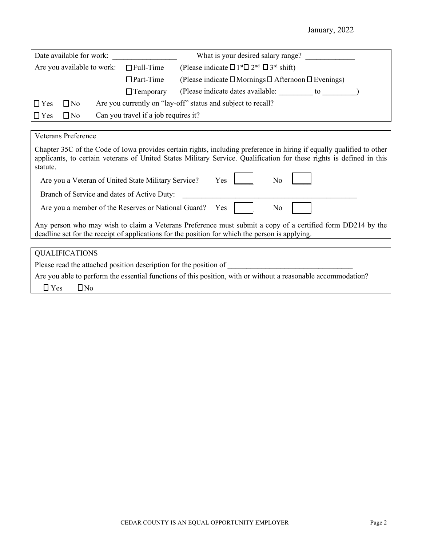January, 2022

| Date available for work:                       |              |  |                                                                                                       | What is your desired salary range?                                          |
|------------------------------------------------|--------------|--|-------------------------------------------------------------------------------------------------------|-----------------------------------------------------------------------------|
| Are you available to work:<br>$\Box$ Full-Time |              |  | (Please indicate $\square$ 1 <sup>st</sup> $\square$ 2 <sup>nd</sup> $\square$ 3 <sup>rd</sup> shift) |                                                                             |
|                                                |              |  | $\Box$ Part-Time                                                                                      | (Please indicate $\square$ Mornings $\square$ Afternoon $\square$ Evenings) |
|                                                |              |  | $\Box$ Temporary                                                                                      | (Please indicate dates available:<br>to                                     |
| $\Box$ Yes                                     | $\square$ No |  |                                                                                                       | Are you currently on "lay-off" status and subject to recall?                |
| $\Box$ Yes                                     | $\square$ No |  | Can you travel if a job requires it?                                                                  |                                                                             |

Veterans Preference

| Chapter 35C of the Code of Iowa provides certain rights, including preference in hiring if equally qualified to other |  |  |  |  |
|-----------------------------------------------------------------------------------------------------------------------|--|--|--|--|
| applicants, to certain veterans of United States Military Service. Qualification for these rights is defined in this  |  |  |  |  |
| statute.                                                                                                              |  |  |  |  |
|                                                                                                                       |  |  |  |  |

| Are you a Veteran of United State Military Service?                                                                                                                                                           | Yes |
|---------------------------------------------------------------------------------------------------------------------------------------------------------------------------------------------------------------|-----|
| Branch of Service and dates of Active Duty:                                                                                                                                                                   |     |
| Are you a member of the Reserves or National Guard? Yes                                                                                                                                                       | No  |
| Any person who may wish to claim a Veterans Preference must submit a copy of a certified form DD214 by the<br>deadline set for the receipt of applications for the position for which the person is applying. |     |
|                                                                                                                                                                                                               |     |
| <b>QUALIFICATIONS</b>                                                                                                                                                                                         |     |
| Please read the attached position description for the position of                                                                                                                                             |     |

Are you able to perform the essential functions of this position, with or without a reasonable accommodation?

 $\Box$  Yes  $\Box$  No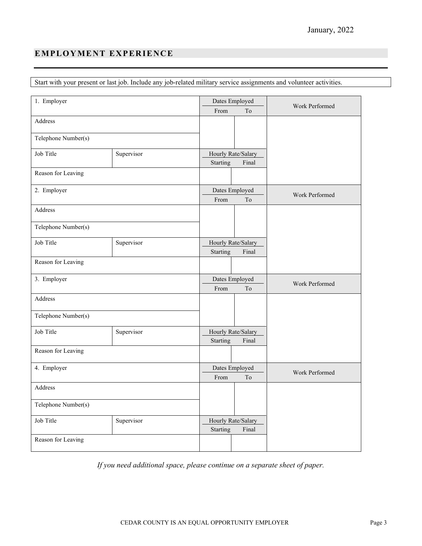# **EMPLOYMENT EXPERIENCE**

Start with your present or last job. Include any job-related military service assignments and volunteer activities.

| 1. Employer             |            |          | Dates Employed      | Work Performed |  |
|-------------------------|------------|----------|---------------------|----------------|--|
|                         |            | From     | To                  |                |  |
| Address                 |            |          |                     |                |  |
|                         |            |          |                     |                |  |
| Telephone Number(s)     |            |          |                     |                |  |
| Job Title               | Supervisor |          | Hourly Rate/Salary  |                |  |
|                         |            | Starting | Final               |                |  |
| Reason for Leaving      |            |          |                     |                |  |
| 2. Employer             |            |          | Dates Employed      | Work Performed |  |
|                         |            | From     | To                  |                |  |
| Address                 |            |          |                     |                |  |
| Telephone Number(s)     |            |          |                     |                |  |
| Job Title               | Supervisor |          | Hourly Rate/Salary  |                |  |
|                         |            | Starting | Final               |                |  |
| Reason for Leaving      |            |          |                     |                |  |
| 3. Employer             |            |          | Dates Employed      |                |  |
|                         |            | From     | $\operatorname{To}$ | Work Performed |  |
| Address                 |            |          |                     |                |  |
| Telephone Number(s)     |            |          |                     |                |  |
| Job Title               | Supervisor |          | Hourly Rate/Salary  |                |  |
|                         |            | Starting | Final               |                |  |
| Reason for Leaving      |            |          |                     |                |  |
| 4. Employer             |            |          | Dates Employed      |                |  |
|                         |            | From     | To                  | Work Performed |  |
| Address                 |            |          |                     |                |  |
| Telephone Number(s)     |            |          |                     |                |  |
| Job Title<br>Supervisor |            |          | Hourly Rate/Salary  |                |  |
|                         |            | Starting | Final               |                |  |
| Reason for Leaving      |            |          |                     |                |  |

*If you need additional space, please continue on a separate sheet of paper.*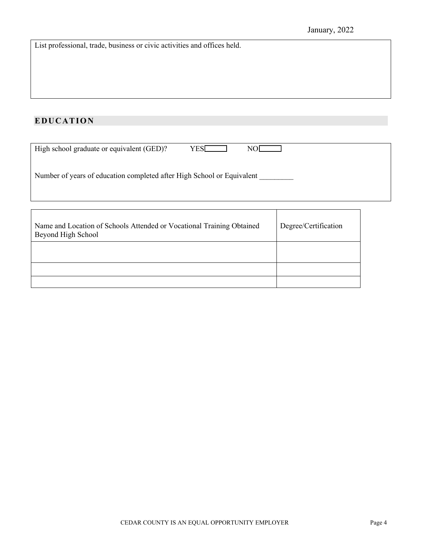List professional, trade, business or civic activities and offices held.

# **EDUCATION**

| High school graduate or equivalent (GED)?<br><b>YES</b><br>NO[                              |                      |  |
|---------------------------------------------------------------------------------------------|----------------------|--|
| Number of years of education completed after High School or Equivalent                      |                      |  |
|                                                                                             |                      |  |
|                                                                                             |                      |  |
| Name and Location of Schools Attended or Vocational Training Obtained<br>Beyond High School | Degree/Certification |  |
|                                                                                             |                      |  |
|                                                                                             |                      |  |
|                                                                                             |                      |  |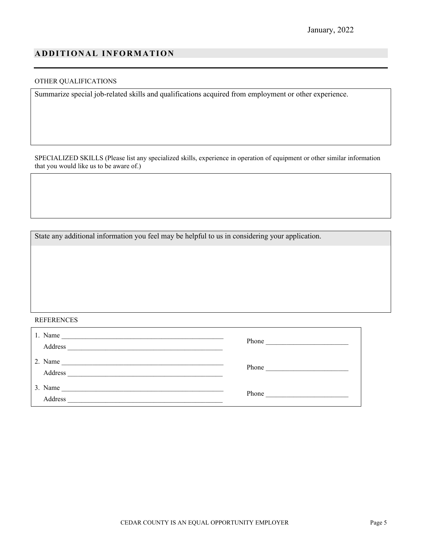### **ADDITIONAL INFORMATION**

#### OTHER QUALIFICATIONS

Summarize special job-related skills and qualifications acquired from employment or other experience.

SPECIALIZED SKILLS (Please list any specialized skills, experience in operation of equipment or other similar information that you would like us to be aware of.)

State any additional information you feel may be helpful to us in considering your application.

#### REFERENCES

| 1. Name<br>Address                                                       | Phone<br><u> 1980 - Johann John Stone, mars et al. (</u> |
|--------------------------------------------------------------------------|----------------------------------------------------------|
| 2. Name<br>Address                                                       | Phone                                                    |
| 3. Name<br><u> 1989 - John Stein, Amerikaansk politiker (</u><br>Address | Phone                                                    |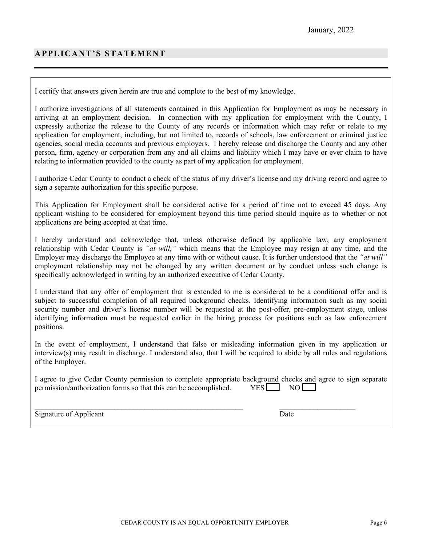## **APPLICANT'S STATEMENT**

I certify that answers given herein are true and complete to the best of my knowledge.

I authorize investigations of all statements contained in this Application for Employment as may be necessary in arriving at an employment decision. In connection with my application for employment with the County, I expressly authorize the release to the County of any records or information which may refer or relate to my application for employment, including, but not limited to, records of schools, law enforcement or criminal justice agencies, social media accounts and previous employers. I hereby release and discharge the County and any other person, firm, agency or corporation from any and all claims and liability which I may have or ever claim to have relating to information provided to the county as part of my application for employment.

I authorize Cedar County to conduct a check of the status of my driver's license and my driving record and agree to sign a separate authorization for this specific purpose.

This Application for Employment shall be considered active for a period of time not to exceed 45 days. Any applicant wishing to be considered for employment beyond this time period should inquire as to whether or not applications are being accepted at that time.

I hereby understand and acknowledge that, unless otherwise defined by applicable law, any employment relationship with Cedar County is *"at will,"* which means that the Employee may resign at any time, and the Employer may discharge the Employee at any time with or without cause. It is further understood that the *"at will"* employment relationship may not be changed by any written document or by conduct unless such change is specifically acknowledged in writing by an authorized executive of Cedar County.

I understand that any offer of employment that is extended to me is considered to be a conditional offer and is subject to successful completion of all required background checks. Identifying information such as my social security number and driver's license number will be requested at the post-offer, pre-employment stage, unless identifying information must be requested earlier in the hiring process for positions such as law enforcement positions.

In the event of employment, I understand that false or misleading information given in my application or interview(s) may result in discharge. I understand also, that I will be required to abide by all rules and regulations of the Employer.

| I agree to give Cedar County permission to complete appropriate background checks and agree to sign separate |  |  |
|--------------------------------------------------------------------------------------------------------------|--|--|
| permission/authorization forms so that this can be accomplished. $YES$ NO $\Box$                             |  |  |

 $\_$  , and the contribution of the contribution of  $\mathcal{L}_\mathcal{A}$  , and the contribution of  $\mathcal{L}_\mathcal{A}$ 

Signature of Applicant Date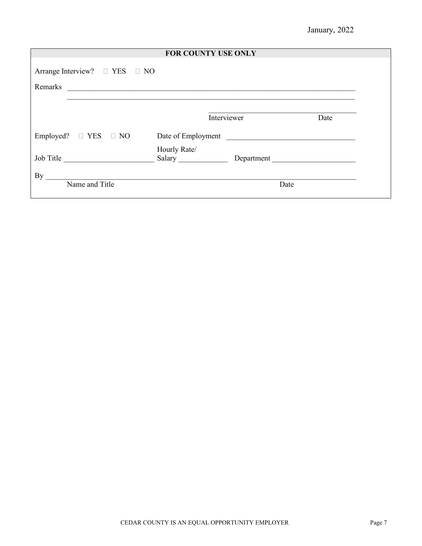| <b>FOR COUNTY USE ONLY</b>                                       |                        |                    |      |  |  |  |
|------------------------------------------------------------------|------------------------|--------------------|------|--|--|--|
| Arrange Interview? $\Box$ YES $\Box$ NO                          |                        |                    |      |  |  |  |
| Remarks<br><u> 1980 - Andrea Stadt, fransk politik (d. 1980)</u> |                        |                    |      |  |  |  |
|                                                                  |                        |                    |      |  |  |  |
|                                                                  | Interviewer            |                    | Date |  |  |  |
| Employed? $\Box$ YES $\Box$ NO                                   |                        | Date of Employment |      |  |  |  |
| Job Title                                                        | Hourly Rate/<br>Salary | Department         |      |  |  |  |
| By<br>Name and Title                                             |                        | Date               |      |  |  |  |